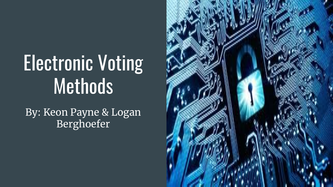# Electronic Voting Methods

By: Keon Payne & Logan Berghoefer

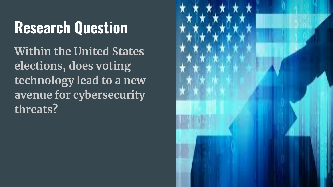# **Research Question**

**Within the United States elections, does voting technology lead to a new avenue for cybersecurity threats?**

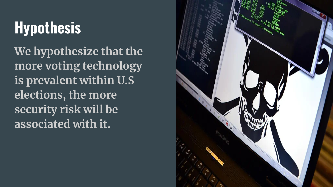# **Hypothesis**

**We hypothesize that the more voting technology is prevalent within U.S elections, the more security risk will be associated with it.**

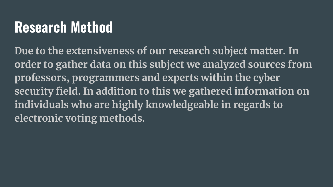### **Research Method**

**Due to the extensiveness of our research subject matter. In order to gather data on this subject we analyzed sources from professors, programmers and experts within the cyber security field. In addition to this we gathered information on individuals who are highly knowledgeable in regards to electronic voting methods.**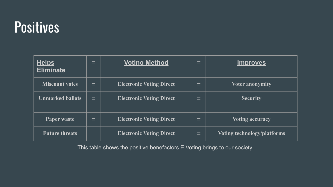#### **Positives**

| <b>Helps</b><br><b>Eliminate</b> | $=$ | <b>Voting Method</b>            | =        | <u>Improves</u>             |
|----------------------------------|-----|---------------------------------|----------|-----------------------------|
| <b>Miscount votes</b>            | ▬   | <b>Electronic Voting Direct</b> | $\equiv$ | <b>Voter anonymity</b>      |
| <b>Unmarked ballots</b>          | ▬   | <b>Electronic Voting Direct</b> | -<br>-   | <b>Security</b>             |
| Paper waste                      | $=$ | <b>Electronic Voting Direct</b> | =        | <b>Voting accuracy</b>      |
| <b>Future threats</b>            |     | <b>Electronic Voting Direct</b> | -<br>ᆮ   | Voting technology/platforms |

This table shows the positive benefactors E Voting brings to our society.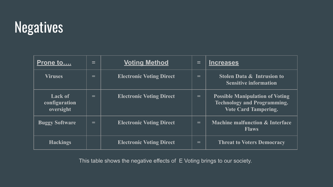# **Negatives**

| <u>Prone to</u>                              | $=$ | <b>Voting Method</b>            | =   | <b>Increases</b>                                                                                            |
|----------------------------------------------|-----|---------------------------------|-----|-------------------------------------------------------------------------------------------------------------|
| <b>Viruses</b>                               | $=$ | <b>Electronic Voting Direct</b> | $=$ | <b>Stolen Data &amp; Intrusion to</b><br><b>Sensitive information</b>                                       |
| <b>Lack of</b><br>configuration<br>oversight | =   | <b>Electronic Voting Direct</b> | $=$ | <b>Possible Manipulation of Voting</b><br><b>Technology and Programming.</b><br><b>Vote Card Tampering.</b> |
| <b>Buggy Software</b>                        | =   | <b>Electronic Voting Direct</b> | $=$ | <b>Machine malfunction &amp; Interface</b><br><b>Flaws</b>                                                  |
| <b>Hackings</b>                              |     | <b>Electronic Voting Direct</b> | $=$ | <b>Threat to Voters Democracy</b>                                                                           |

This table shows the negative effects of E Voting brings to our society.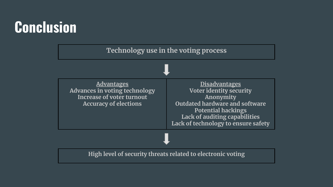# **Conclusion**

**Technology use in the voting process Advantages Advances in voting technology Increase of voter turnout Accuracy of elections Disadvantages Voter identity security Anonymity Outdated hardware and software Potential hackings Lack of auditing capabilities Lack of technology to ensure safety High level of security threats related to electronic voting**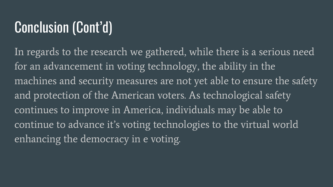# Conclusion (Cont'd)

In regards to the research we gathered, while there is a serious need for an advancement in voting technology, the ability in the machines and security measures are not yet able to ensure the safety and protection of the American voters. As technological safety continues to improve in America, individuals may be able to continue to advance it's voting technologies to the virtual world enhancing the democracy in e voting.